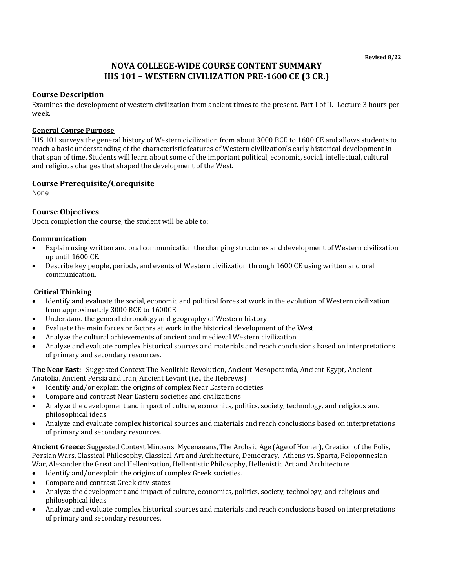# **NOVA COLLEGE-WIDE COURSE CONTENT SUMMARY HIS 101 – WESTERN CIVILIZATION PRE-1600 CE (3 CR.)**

### **Course Description**

Examines the development of western civilization from ancient times to the present. Part I of II. Lecture 3 hours per week.

#### **General Course Purpose**

HIS 101 surveys the general history of Western civilization from about 3000 BCE to 1600 CE and allows students to reach a basic understanding of the characteristic features of Western civilization's early historical development in that span of time. Students will learn about some of the important political, economic, social, intellectual, cultural and religious changes that shaped the development of the West.

### **Course Prerequisite/Corequisite**

None

### **Course Objectives**

Upon completion the course, the student will be able to:

### **Communication**

- Explain using written and oral communication the changing structures and development of Western civilization up until 1600 CE.
- Describe key people, periods, and events of Western civilization through 1600 CE using written and oral communication.

### **Critical Thinking**

- Identify and evaluate the social, economic and political forces at work in the evolution of Western civilization from approximately 3000 BCE to 1600CE.
- Understand the general chronology and geography of Western history
- Evaluate the main forces or factors at work in the historical development of the West
- Analyze the cultural achievements of ancient and medieval Western civilization.
- Analyze and evaluate complex historical sources and materials and reach conclusions based on interpretations of primary and secondary resources.

**The Near East:** Suggested Context The Neolithic Revolution, Ancient Mesopotamia, Ancient Egypt, Ancient Anatolia, Ancient Persia and Iran, Ancient Levant (i.e., the Hebrews)

- Identify and/or explain the origins of complex Near Eastern societies.
- Compare and contrast Near Eastern societies and civilizations
- Analyze the development and impact of culture, economics, politics, society, technology, and religious and philosophical ideas
- Analyze and evaluate complex historical sources and materials and reach conclusions based on interpretations of primary and secondary resources.

**Ancient Greece**: Suggested Context Minoans, Mycenaeans, The Archaic Age (Age of Homer), Creation of the Polis, Persian Wars, Classical Philosophy, Classical Art and Architecture, Democracy, Athens vs. Sparta, Peloponnesian War, Alexander the Great and Hellenization, Hellentistic Philosophy, Hellenistic Art and Architecture

- Identify and/or explain the origins of complex Greek societies.
- Compare and contrast Greek city-states
- Analyze the development and impact of culture, economics, politics, society, technology, and religious and philosophical ideas
- Analyze and evaluate complex historical sources and materials and reach conclusions based on interpretations of primary and secondary resources.